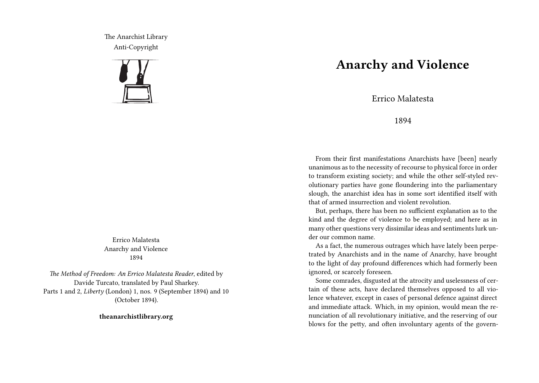The Anarchist Library Anti-Copyright



Errico Malatesta Anarchy and Violence 1894

*The Method of Freedom: An Errico Malatesta Reader*, edited by Davide Turcato, translated by Paul Sharkey. Parts 1 and 2, *Liberty* (London) 1, nos. 9 (September 1894) and 10 (October 1894).

**theanarchistlibrary.org**

## **Anarchy and Violence**

Errico Malatesta

## 1894

From their first manifestations Anarchists have [been] nearly unanimous as to the necessity of recourse to physical force in order to transform existing society; and while the other self-styled revolutionary parties have gone floundering into the parliamentary slough, the anarchist idea has in some sort identified itself with that of armed insurrection and violent revolution.

But, perhaps, there has been no sufficient explanation as to the kind and the degree of violence to be employed; and here as in many other questions very dissimilar ideas and sentiments lurk under our common name.

As a fact, the numerous outrages which have lately been perpetrated by Anarchists and in the name of Anarchy, have brought to the light of day profound differences which had formerly been ignored, or scarcely foreseen.

Some comrades, disgusted at the atrocity and uselessness of certain of these acts, have declared themselves opposed to all violence whatever, except in cases of personal defence against direct and immediate attack. Which, in my opinion, would mean the renunciation of all revolutionary initiative, and the reserving of our blows for the petty, and often involuntary agents of the govern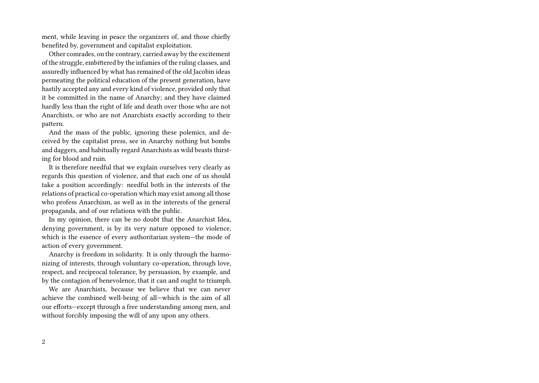ment, while leaving in peace the organizers of, and those chiefly benefited by, government and capitalist exploitation.

Other comrades, on the contrary, carried away by the excitement of the struggle, embittered by the infamies of the ruling classes, and assuredly influenced by what has remained of the old Jacobin ideas permeating the political education of the present generation, have hastily accepted any and every kind of violence, provided only that it be committed in the name of Anarchy; and they have claimed hardly less than the right of life and death over those who are not Anarchists, or who are not Anarchists exactly according to their pattern.

And the mass of the public, ignoring these polemics, and deceived by the capitalist press, see in Anarchy nothing but bombs and daggers, and habitually regard Anarchists as wild beasts thirsting for blood and ruin.

It is therefore needful that we explain ourselves very clearly as regards this question of violence, and that each one of us should take a position accordingly: needful both in the interests of the relations of practical co-operation which may exist among all those who profess Anarchism, as well as in the interests of the general propaganda, and of our relations with the public.

In my opinion, there can be no doubt that the Anarchist Idea, denying government, is by its very nature opposed to violence, which is the essence of every authoritarian system—the mode of action of every government.

Anarchy is freedom in solidarity. It is only through the harmonizing of interests, through voluntary co-operation, through love, respect, and reciprocal tolerance, by persuasion, by example, and by the contagion of benevolence, that it can and ought to triumph.

We are Anarchists, because we believe that we can never achieve the combined well-being of all—which is the aim of all our efforts—except through a free understanding among men, and without forcibly imposing the will of any upon any others.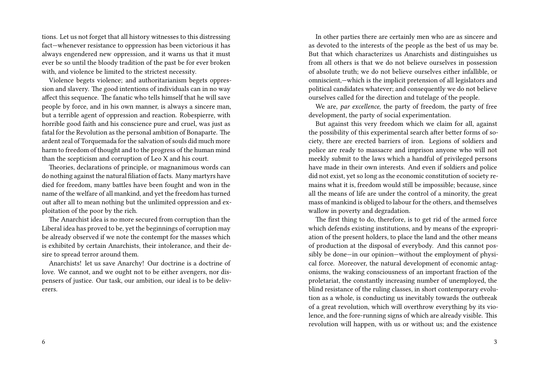tions. Let us not forget that all history witnesses to this distressing fact—whenever resistance to oppression has been victorious it has always engendered new oppression, and it warns us that it must ever be so until the bloody tradition of the past be for ever broken with, and violence be limited to the strictest necessity.

Violence begets violence; and authoritarianism begets oppression and slavery. The good intentions of individuals can in no way affect this sequence. The fanatic who tells himself that he will save people by force, and in his own manner, is always a sincere man, but a terrible agent of oppression and reaction. Robespierre, with horrible good faith and his conscience pure and cruel, was just as fatal for the Revolution as the personal ambition of Bonaparte. The ardent zeal of Torquemada for the salvation of souls did much more harm to freedom of thought and to the progress of the human mind than the scepticism and corruption of Leo X and his court.

Theories, declarations of principle, or magnanimous words can do nothing against the natural filiation of facts. Many martyrs have died for freedom, many battles have been fought and won in the name of the welfare of all mankind, and yet the freedom has turned out after all to mean nothing but the unlimited oppression and exploitation of the poor by the rich.

The Anarchist idea is no more secured from corruption than the Liberal idea has proved to be, yet the beginnings of corruption may be already observed if we note the contempt for the masses which is exhibited by certain Anarchists, their intolerance, and their desire to spread terror around them.

Anarchists! let us save Anarchy! Our doctrine is a doctrine of love. We cannot, and we ought not to be either avengers, nor dispensers of justice. Our task, our ambition, our ideal is to be deliverers.

In other parties there are certainly men who are as sincere and as devoted to the interests of the people as the best of us may be. But that which characterizes us Anarchists and distinguishes us from all others is that we do not believe ourselves in possession of absolute truth; we do not believe ourselves either infallible, or omniscient,—which is the implicit pretension of all legislators and political candidates whatever; and consequently we do not believe ourselves called for the direction and tutelage of the people.

We are, *par excellence*, the party of freedom, the party of free development, the party of social experimentation.

But against this very freedom which we claim for all, against the possibility of this experimental search after better forms of society, there are erected barriers of iron. Legions of soldiers and police are ready to massacre and imprison anyone who will not meekly submit to the laws which a handful of privileged persons have made in their own interests. And even if soldiers and police did not exist, yet so long as the economic constitution of society remains what it is, freedom would still be impossible; because, since all the means of life are under the control of a minority, the great mass of mankind is obliged to labour for the others, and themselves wallow in poverty and degradation.

The first thing to do, therefore, is to get rid of the armed force which defends existing institutions, and by means of the expropriation of the present holders, to place the land and the other means of production at the disposal of everybody. And this cannot possibly be done—in our opinion—without the employment of physical force. Moreover, the natural development of economic antagonisms, the waking consciousness of an important fraction of the proletariat, the constantly increasing number of unemployed, the blind resistance of the ruling classes, in short contemporary evolution as a whole, is conducting us inevitably towards the outbreak of a great revolution, which will overthrow everything by its violence, and the fore-running signs of which are already visible. This revolution will happen, with us or without us; and the existence